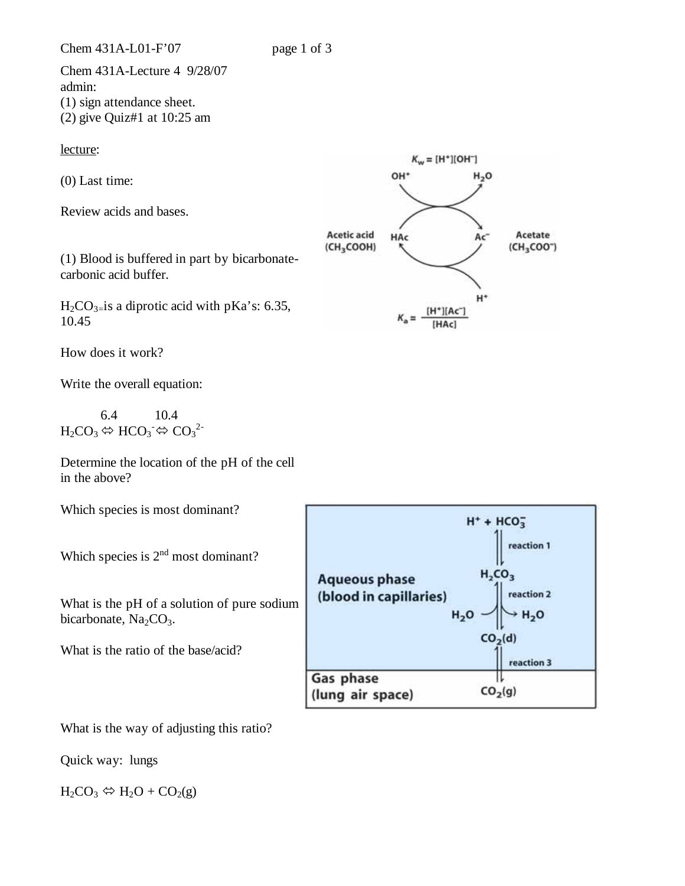Chem 431A-Lecture 4 9/28/07 admin: (1) sign attendance sheet. (2) give Quiz#1 at 10:25 am

lecture:

(0) Last time:

Review acids and bases.

(1) Blood is buffered in part by bicarbonatecarbonic acid buffer.

 $H_2CO_3$ <sub>=</sub>is a diprotic acid with pKa's: 6.35, 10.45

How does it work?

Write the overall equation:

 6.4 10.4  $H_2CO_3 \Leftrightarrow HCO_3 \Leftrightarrow CO_3^{2-}$ 

Determine the location of the pH of the cell in the above?

Which species is most dominant?

Which species is  $2<sup>nd</sup>$  most dominant?

What is the pH of a solution of pure sodium bicarbonate,  $Na<sub>2</sub>CO<sub>3</sub>$ .

What is the ratio of the base/acid?



What is the way of adjusting this ratio?

Quick way: lungs

 $H_2CO_3 \Leftrightarrow H_2O + CO_2(g)$ 

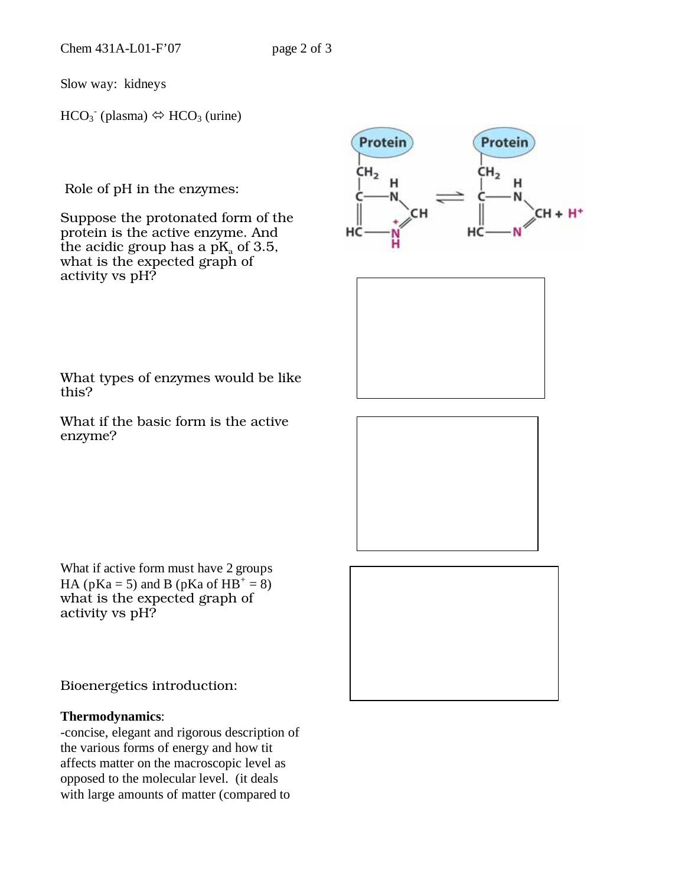Slow way: kidneys

 $HCO<sub>3</sub><sup>-</sup>$  (plasma)  $\Leftrightarrow HCO<sub>3</sub>$  (urine)

Role of pH in the enzymes:

Suppose the protonated form of the protein is the active enzyme. And the acidic group has a  $pK_a$  of 3.5, what is the expected graph of activity vs pH?





What types of enzymes would be like this?

What if the basic form is the active enzyme?

What if active form must have 2 groups HA ( $pKa = 5$ ) and B ( $pKa$  of  $HB^+ = 8$ ) what is the expected graph of activity vs pH?

Bioenergetics introduction:

## **Thermodynamics**:

-concise, elegant and rigorous description of the various forms of energy and how tit affects matter on the macroscopic level as opposed to the molecular level. (it deals with large amounts of matter (compared to